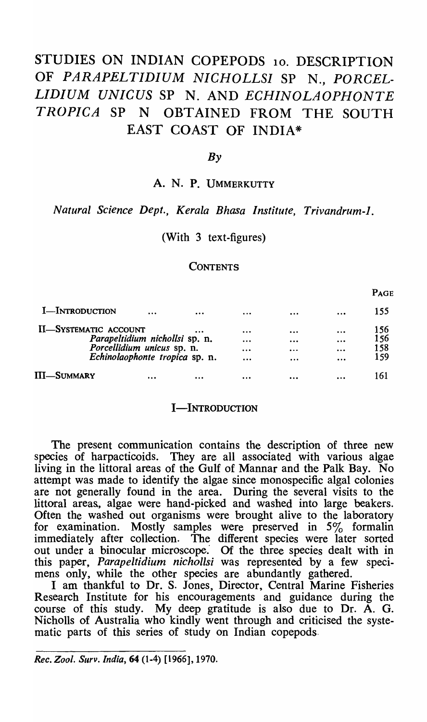# STUDIES ON INDIAN COPEPODS 10. DESCRIPTION OF *PARAPELT/D/UM NICHOLLS]* SP N., *PORCEL·*  LIDIUM UNICUS SP N. AND *ECHINOLAOPHONTE TROPICA* SP N OBTAINED FROM THE SOUTH EAST COAST OF INDIA\*

## *By*

## A. N. P. UMMERKUTTY

## *Natural Science Dept., Kerala Bhasa Institute, Trivandrum-l.*

## (With 3 text-figures)

#### **CONTENTS**

PAGE

| <b>I</b> -Introduction         | $\cdots$ | $\cdots$                       | $\cdots$ | $\cdots$                |                         | 155        |
|--------------------------------|----------|--------------------------------|----------|-------------------------|-------------------------|------------|
| <b>II-SYSTEMATIC ACCOUNT</b>   |          |                                | $\cdots$ |                         | $\bullet\bullet\bullet$ | 156<br>156 |
| Parapeltidium nichollsi sp. n. |          |                                | $\cdots$ | $\bullet\bullet\bullet$ |                         |            |
| Porcellidium unicus sp. n.     |          |                                | $\cdots$ |                         | $\cdots$                | 158        |
|                                |          | Echinolaophonte tropica sp. n. | $\cdots$ | $\cdots$                | $\cdots$                | 159        |
| III—Summary                    | $\cdots$ | $\cdots$                       |          | $\cdots$                |                         | 161        |

#### I-INTRODUCTION

The present communication contains the description of three new species of harpacticoids. They are all associated with various algae living in the littoral areas of the Gulf of Mannar and the Palk Bay. No attempt was made to identify the algae since monospecific algal colonies are not generally found in the area. During the several visits to the littoral areas., algae were hand-picked and washed into large beakers. Often the washed out organisms were brought alive to the laboratory for examination. Mostly samples were preserved in 5% formalin immediately after collection. The different species were later sorted out under a binocular microscope: Of the three species dealt with in this paper, *Parapeltidium nichollsi* was represented by a few specimens only, while the other species are abundantly gathered.

I am thankful to Dr. S. Jones, Director, Central Marine Fisheries Research Institute for his encouragements and guidance during the course of this study. My deep gratitude is also due to Dr. A. G. Nicholls of Australia who kindly went through and criticised the systematic parts of this series of study on Indian copepods.

*Rec. Zool. Sllrv. India,* 64 (1-4) [1966], 1970.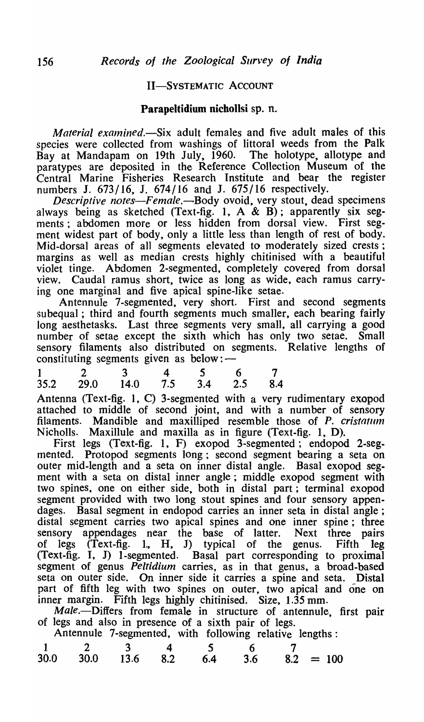## II-SYSTEMATIC ACCOUNT

## Parapeltidium nichollsi sp. n.

*Material examined.*—Six adult females and five adult males of this species were collected from washings of littoral weeds from the Palk<br>Bay at Mandapam on 19th July, 1960. The holotype, allotype and Bay at Mandapam on 19th July,  $1960$ . paratypes are deposited in the Reference Collection Museum of the Central Marine Fisheries Research Institute and bear the register numbers J.  $673/16$ , J.  $674/16$  and J.  $675/16$  respectively.

*Descriptive notes—Female.*—Body ovoid, very stout, dead specimens always being as sketched (Text-fig. 1,  $A \& B$ ); apparently six seg-<br>ments: abdomen more or less hidden from dorsal view. First segments; abdomen more or less hidden from dorsal view. ment widest part of body, only a little less than length of rest of body. Mid-dorsal areas of all segments elevated to moderately sized crests; margins as well as median crests highly chitinised with a beautiful violet tinge. Abdomen 2-segmented, completely covered from dorsal view. Caudal ramus short, twice as long as wide, each ramus carrying one marginal and five apical spine-like setae.

Antennule 7-segmented, very short. First and second segments subequal; third and fourth segments much smaller, each bearing fairly long aesthetasks. Last three segments very small, all carrying a good number of setae except the sixth which has only two setae. Small sensory filaments also distributed on segments. Relative lengths of constituting segments given as below:mumber of setae except the sixth which has only<br>sensory filaments also distributed on segments. R<br>constituting segments given as below: —<br>1 2 3 4 5 6 7<br>35.2 29.0 14.0 7.5 3.4 2.5 8.4

|                                | 3 4 5 6 7 |  |  |
|--------------------------------|-----------|--|--|
| 35.2 29.0 14.0 7.5 3.4 2.5 8.4 |           |  |  |

Antenna (Text-fig. 1, C) 3-segmented with a very rudimentary exopod attached to middle of second joint, and with a number of sensory filaments. Mandible and maxilliped resemble those of *P. cristal1l1n*  Nicholls. Maxillule and maxilla as in figure (Text-fig. 1, D).

First legs (Text-fig. 1, F) exopod 3-segmented; endopod 2-segmented. Protopod segments long; second segment bearing a seta on outer mid-length and a seta on inner distal angle. Basal exopod segment with a seta on distal inner angle; middle exopod segment with two spines, one on either side, both in distal part; terminal exopod segment provided with two long stout spines and four sensory appendages. Basal segment in endopod carries an inner seta in distal angle; distal segment carries two apical spines and one inner spine; three sensory appendages near the base of latter. Next three pairs sensory appendages near the base of latter. Next three pairs<br>of legs (Text-fig. 1, H, J) typical of the genus. Fifth leg of legs (Text-fig. 1, H, J) typical of the genus. Fifth leg (Text-fig. I, J) I-segmented. Basal part corresponding to proximal segment of genus *Peltidium* carries, as in that genus, a broad-based seta on outer side. On inner side it carries a spine and seta. Distal part of fifth leg with two spines on outer, two apical and one on inner margin. Fifth legs highly chitinised. Size, 1.35 mm.

Male.-Differs from female in structure of antennule, first pair of legs and also in presence of a sixth pair of legs.

| Male.—Differs from female in structure of antennule, fi         |  |
|-----------------------------------------------------------------|--|
|                                                                 |  |
| of legs and also in presence of a sixth pair of legs.           |  |
| Antennule 7-segmented, with following relative lengths:         |  |
| $\mathbf{z}$<br>4<br>$\mathcal{L}$<br>h                         |  |
| 30.0<br><b>30.0</b><br>$8.2 = 100$<br>13.6<br>8.2<br>3.6<br>6.4 |  |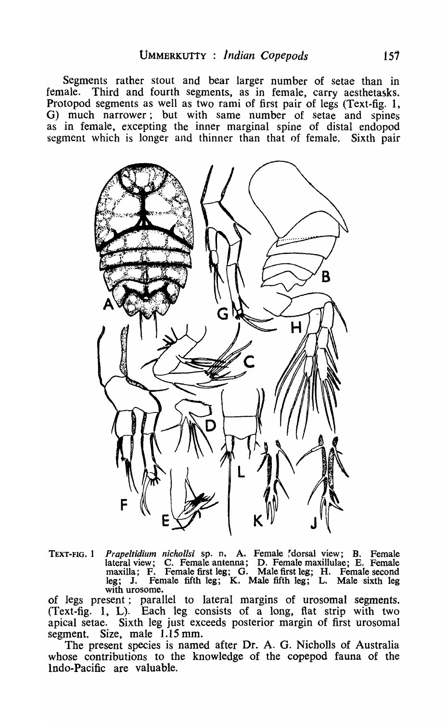Segments rather stout and bear larger number of setae than in female. Third and fourth segments, as in female, carry aesthetasks. Protopod segments as well as two rami of first pair of legs (Text-fig. 1, G) much narrower; but with same number of setae and spines as in female, excepting the inner marginal spine of distal endopod segment which is longer and thinner than that of female. Sixth pair



TEXT-FIG. 1 *Prapeltidium nichollsi* sp. n. A. Female rdorsal view; B. Female lateral view; C. Female antenna; D. Female maxillulae; E. Female maxilla; F. Female first leg; G. Male first leg; H. Female second leg; J. Female fifth leg; K. Male fifth leg; L. Male sixth leg with urosome.

of legs present; parallel to lateral margins of urosomal segments. (Text-fig. 1, L). Each leg consists of a long, fiat strip with two apical setae. Sixth leg just exceeds posterior margin of first urosomaI segment. Size, male 1.15 mm.

The present species is named after Dr. A. G. Nicholls of Australia whose contributions to the knowledge of the copepod fauna of the Indo-Pacific are valuable.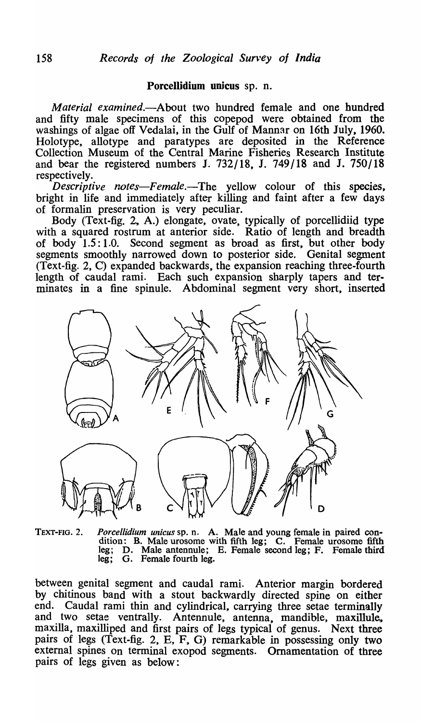## Porcellidium unicus sp. n.

*Material examined.-About* two hundred female and one hundred and fifty male specimens of this copepod were obtained from the washings of algae off Vedalai, in the Gulf of Mannar on 16th July, 1960. Holotype, allotype and paratypes are deposited in the Reference Collection Museum of the Central Marine Fisheries Research Institute and bear the registered numbers J. 732/18, J. 749/18 and J. 750/18 respectively.

*Descriptive notes-Female.-The* yellow colour of this species, bright in life and immediately after killing and faint after a few days of formalin preservation is very peculiar.

Body (Text-fig. 2, A.) elongate, ovate, typically of porcellidiid type with a squared rostrum at anterior side. Ratio of length and breadth of body 1.5: 1.0. Second segment as broad as first, but other body segments smoothly narrowed down to posterior side. Genital segment (Text-fig. 2, C) expanded backwards, the expansion reaching three-fourth length of caudal rami. Each such expansion sharply tapers and terminates in a fine spinule. Abdominal segment very short, inserted



TEXT-FIG. 2. *Porcellidium unicus* sp. n. A. Male and young female in paired condition: B. Male urosome with fifth leg; C. Female urosome fifth leg; D. Male antennule; E. Female second leg; F. Female third leg; G. Female fourth leg.

between genital segment and caudal rami. Anterior margin bordered by chitinous band with a stout backwardly directed spine on either end. Caudal rami thin and cylindrical, carrying three setae terminally and two setae ventrally. Antennule, antenna, mandible, maxillule, maxilla, maxilliped and first pairs of legs typical of genus. Next three pairs of legs (Text-fig. 2, E, F, G) remarkable in possessing only two external spines on terminal exopod segments. Ornamentation of three pairs of legs given as below: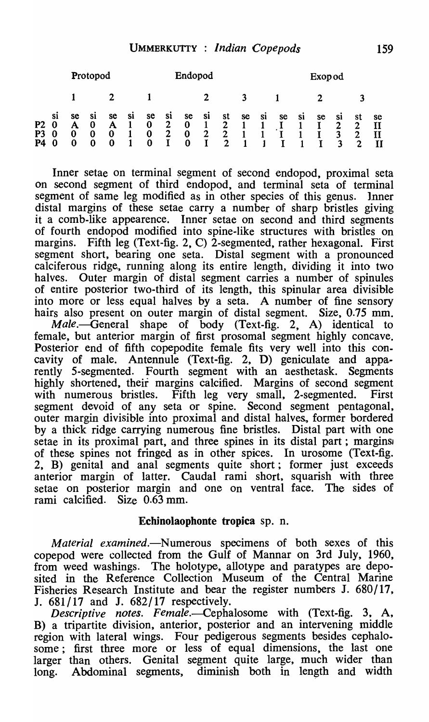|                            |                                         | Protopod          |                     |                             |           |                          |                                               | Endopod                                |                                               |                                                     |     |           |    | <b>Exop od</b> |    |                          |                   |    |
|----------------------------|-----------------------------------------|-------------------|---------------------|-----------------------------|-----------|--------------------------|-----------------------------------------------|----------------------------------------|-----------------------------------------------|-----------------------------------------------------|-----|-----------|----|----------------|----|--------------------------|-------------------|----|
|                            |                                         |                   |                     |                             |           |                          |                                               |                                        |                                               |                                                     |     |           |    |                |    |                          |                   |    |
| P <sub>2</sub><br>P3<br>P4 | <b>Si</b><br>$\boldsymbol{0}$<br>0<br>0 | se<br>Α<br>0<br>0 | <b>S1</b><br>0<br>0 | se<br>$\mathbf A$<br>0<br>0 | <b>S1</b> | se<br>$\bf{0}$<br>0<br>0 | <b>S1</b><br>$\overline{2}$<br>$\overline{2}$ | se<br>$\bf{0}$<br>$\bf{0}$<br>$\bf{0}$ | <b>Si</b><br>$\mathbf{1}$<br>$\mathbf 2$<br>I | st<br>$\overline{2}$<br>$\mathbf{2}$<br>$\mathbf 2$ | se. | <b>S1</b> | se | S1             | se | <b>Si</b><br>2<br>3<br>3 | st<br>2<br>2<br>2 | se |

Inner setae on terminal segment of second endopod, proximal seta on second segment of third endopod, and terminal seta of terminal segment of same leg modified as in other species of this genus. Inner distal margins of these setae carry a number of sharp bristles giving it a comb-like appearence. Inner setae on second and third segments of fourth endopod modified into spine-like structures with bristles on margins. Fifth leg (Text-fig. 2, C) 2-segmented, rather hexagonal. First segment short, bearing one seta. Distal segment with a pronounced calciferous ridge, running along its entire length, dividing it into two halves. Outer margin of distal segment carries a number of spinules of entire posterior two-third of its length, this spinular area divisible into more or less equal halves by a seta. A number of fine sensory hairs also present on outer margin of distal segment. Size, 0.75 mm.

 $Male$ —General shape of body (Text-fig. 2, A) identical to female, but anterior margin of first prosomal segment highly concave. Posterior end of fifth copepodite female fits very well into this concavity of male. Antennule (Text-fig. 2, D) geniculate and apparently 5-segmented. Fourth segment with an aesthetask. Segments highly shortened, their margins calcified. Margins of second segment with numerous bristles. Fifth leg very small, 2-segmented. First segment devoid of any seta or spine. Second segment pentagonal, outer margin divisible into proximal and distal halves., former bordered by a thick ridge carrying numerous fine bristles. Distal part with one setae in its proximal part, and three spines in its distal part; margins of these spines not fringed as in other spices. In urosome (Text-fig. 2, B) genital and anal segments quite short; former just exceeds anterior margin of latter. Caudal rami short, squarish with three setae on posterior margin and one on ventral face. The sides of rami calcified. Size 0.63 mm.

## Ecbinolaophonte tropica sp. n.

*Material examined.*—Numerous specimens of both sexes of this copepod were collected from the Gulf of Mannar on 3rd July, 1960, from weed washings. The holotype, allotype and paratypes are deposited in the Reference Collection Museum of the Central Marine Fisheries Research Institute and bear the register numbers J. 680/17, J. 681/17 and J. 682/17 respectively.

*Descriptive notes. Femaie.-Cephalosome* with (Text-fig. 3, A, B) a tripartite division, anterior, posterior and an intervening middle region with lateral wings. Four pedigerous segments besides cephalosome; first three more or less of equal dimensions, the last one larger than others. Genital segment quite large, much wider than long. Abdominal segments, diminish both in length and width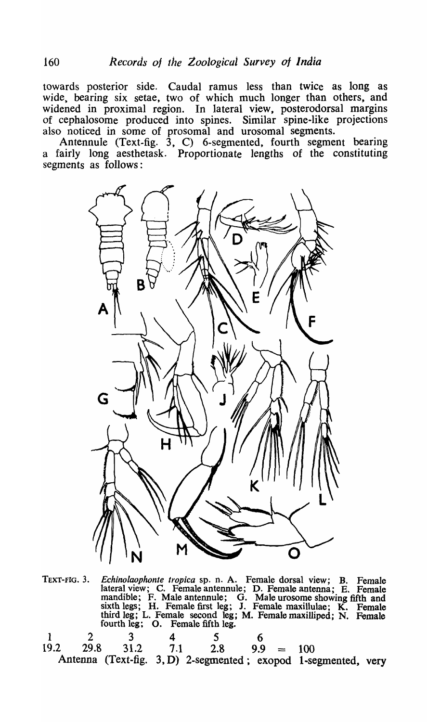towards posterior side. Caudal ramus less than twice as long as *wide,* bearing six setae, two of which much longer than others, and widened in proximal region. In lateral view, posterodorsal margins of cephalosome produced into spines. Similar spine-like projections also noticed in some of prosomal and urosomal segments.

Antennule (Text-fig. 3, C) 6-segmented, fourth segment bearing a fairly long aesthetask. Proportionate lengths of the constituting segments as follows:



TEXT-FIG. 3. *Echinolaophonte tropica* sp. n. A. Female dorsal view; B. Female lateral view; C. Female antennule; D. Female antenna; E. Female mandible; F. Male antennule; G. Male urosome showing fifth and sixth legs; H. Female first leg; J. Female maxillulae; K. Female third leg; L. Female second leg; M. Female maxilliped; N. Female fourth leg; O. Female fifth leg.

| $\begin{array}{cccccccc} 1 & 2 & 3 & 4 \end{array}$ |  |                                    |  |                                                                |  |
|-----------------------------------------------------|--|------------------------------------|--|----------------------------------------------------------------|--|
|                                                     |  | $19.2$ 29.8 31.2 7.1 2.8 9.9 = 100 |  |                                                                |  |
|                                                     |  |                                    |  | Antenna (Text-fig. 3, D) 2-segmented; exopod 1-segmented, very |  |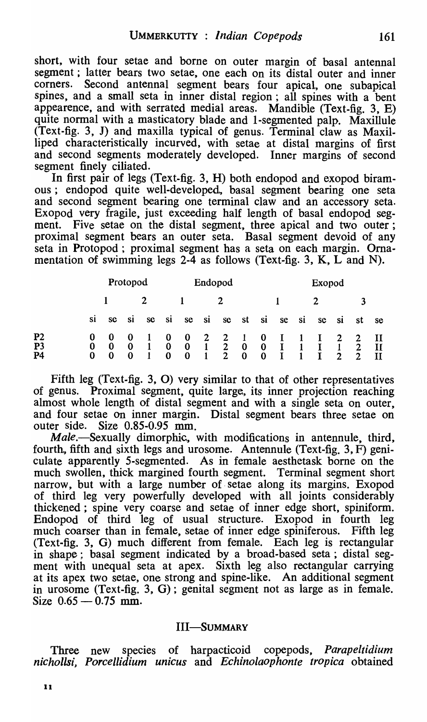short, with four setae and borne on outer margin of basal antennal segment; latter bears two setae, one each on its distal outer and inner corners. Second antennal segment bears four apical, one subapical spines, and a small seta in inner distal region; all spines with a bent appearence, and with serrated medial areas. Mandible (Text-fig. 3, E) quite normal with a masticatory blade and 1-segmented palp. Maxillule (Text-fig. 3, J) and maxilla typical of genus. Terminal claw as Maxi! liped characteristically incurved, with setae at distal margins of first and second segments moderately developed. Inner margins of second segment finely ciliated.

In first pair of legs (Text-fig. 3, H) both endopod and exopod biramous; endopod quite well-developed, basal segment bearing one seta and second segment bearing one terminal claw and an accessory seta. Exopod very fragile, just exceeding half length of basal endopod segment. Five setae on the distal segment, three apical and two outer; proximal segment bears an outer seta. Basal segment devoid of any seta in Protopod ; proximal segment has a seta on each margin. Ornamentation of swimming legs  $2-4$  as follows (Text-fig. 3, K, L and N).

|                                                    |                    | Protopod                   |                            |                |                           | Endopod                          |                     |                                                                                               |                      |                      | Exopod                       |                |              |                               |                                 |              |  |
|----------------------------------------------------|--------------------|----------------------------|----------------------------|----------------|---------------------------|----------------------------------|---------------------|-----------------------------------------------------------------------------------------------|----------------------|----------------------|------------------------------|----------------|--------------|-------------------------------|---------------------------------|--------------|--|
|                                                    |                    |                            |                            | 2              |                           |                                  |                     |                                                                                               |                      |                      | 3                            |                |              |                               |                                 |              |  |
|                                                    | <b>S1</b>          | se                         | si                         | <b>sc</b>      | si                        | se                               | si                  | se                                                                                            | st si                |                      | se                           | $\cdot$ si     | se           | si                            | st                              | se           |  |
| P <sub>2</sub><br>P <sub>3</sub><br>P <sub>4</sub> | 0<br>$\bf{0}$<br>0 | -0<br>$\bf{0}$<br>$\bf{0}$ | -0<br>$\bf{0}$<br>$\bf{0}$ | $\blacksquare$ | $\bf{0}$<br>$\bf{0}$<br>0 | $\bf{0}$<br>$\bf{0}$<br>$\bf{0}$ | $\overline{2}$<br>1 | $\mathbf{2}$<br>$\overline{1}$ $\overline{2}$ $\overline{0}$ $\overline{0}$<br>$\overline{2}$ | $\sim 1$<br>$\bf{0}$ | $\bf{0}$<br>$\bf{0}$ | $\mathbf{I}$<br>$\mathbf{I}$ | $\blacksquare$ | $\mathbf{I}$ | $\mathbf{1}$<br>$\mathcal{P}$ | $\overline{2}$<br>$\mathcal{P}$ | $\mathbf{H}$ |  |

Fifth leg (Text-fig. 3, 0) very similar to that of other representatives of genus. Proximal segment, quite large, its inner projection reaching almost whole length of distal segment and with a single seta on outer, and four setae on inner margin. Distal segment bears three setae on outer side. Size 0.85-0.95 mm.

*Male.-Sexually* dimorphic, with modifications in antennule, third, fourth, fifth and sixth legs and urosome. Antennule (Text-fig. 3, F) geniculate apparently 5-segmented. As in female aesthetask borne on the much swollen, thick margined fourth segment. Terminal segment short narrow, but with a large number of setae along its margins. Exopod of third leg very powerfully developed with all joints considerably thickened; spine very coarse and setae of inner edge short, spiniform. Endopod of third leg of usual structure. Exopod in fourth leg much coarser than in female, setae of inner edge spiniferous. Fifth leg (Text-fig. 3, G) much different from female. Each leg is rectangular in shape; basal segment indicated by a broad-based seta; distal segment with unequal seta at apex. Sixth leg also rectangular carrying at its apex two setae, one strong and spine-like. An additional segment in urosome (Text-fig. 3, G); genital segment not as large as in female. Size  $0.65 - 0.75$  mm.

## III-SUMMARY

Three new species of harpacticoid copepods, *Parapeltidium nichollsi, Porcellidium unicus* and *Echinolaophonte tropica* obtained